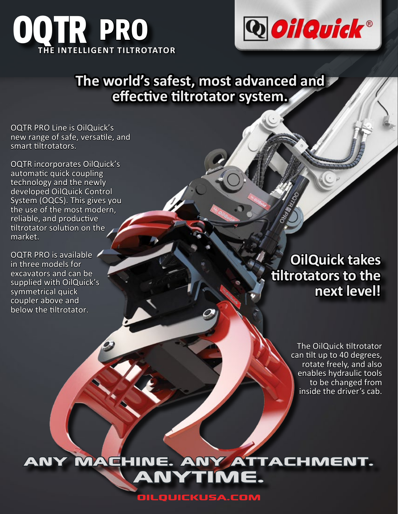



## **The world's safest, most advanced and effective tiltrotator system.**

OQTR PRO Line is OilQuick's new range of safe, versatile, and smart tiltrotators.

OQTR incorporates OilQuick's automatic quick coupling technology and the newly developed OilQuick Control System (OQCS). This gives you the use of the most modern, reliable, and productive tiltrotator solution on the market.

OQTR PRO is available in three models for excavators and can be supplied with OilQuick's symmetrical quick coupler above and below the tiltrotator.

## **OilQuick takes tiltrotators to the next level!**

The OilQuick tiltrotator can tilt up to 40 degrees, rotate freely, and also enables hydraulic tools to be changed from inside the driver's cab.

any machine. any attachment. INE. ANY ATI<br>ANYTIME.

OilQuickUSA.com